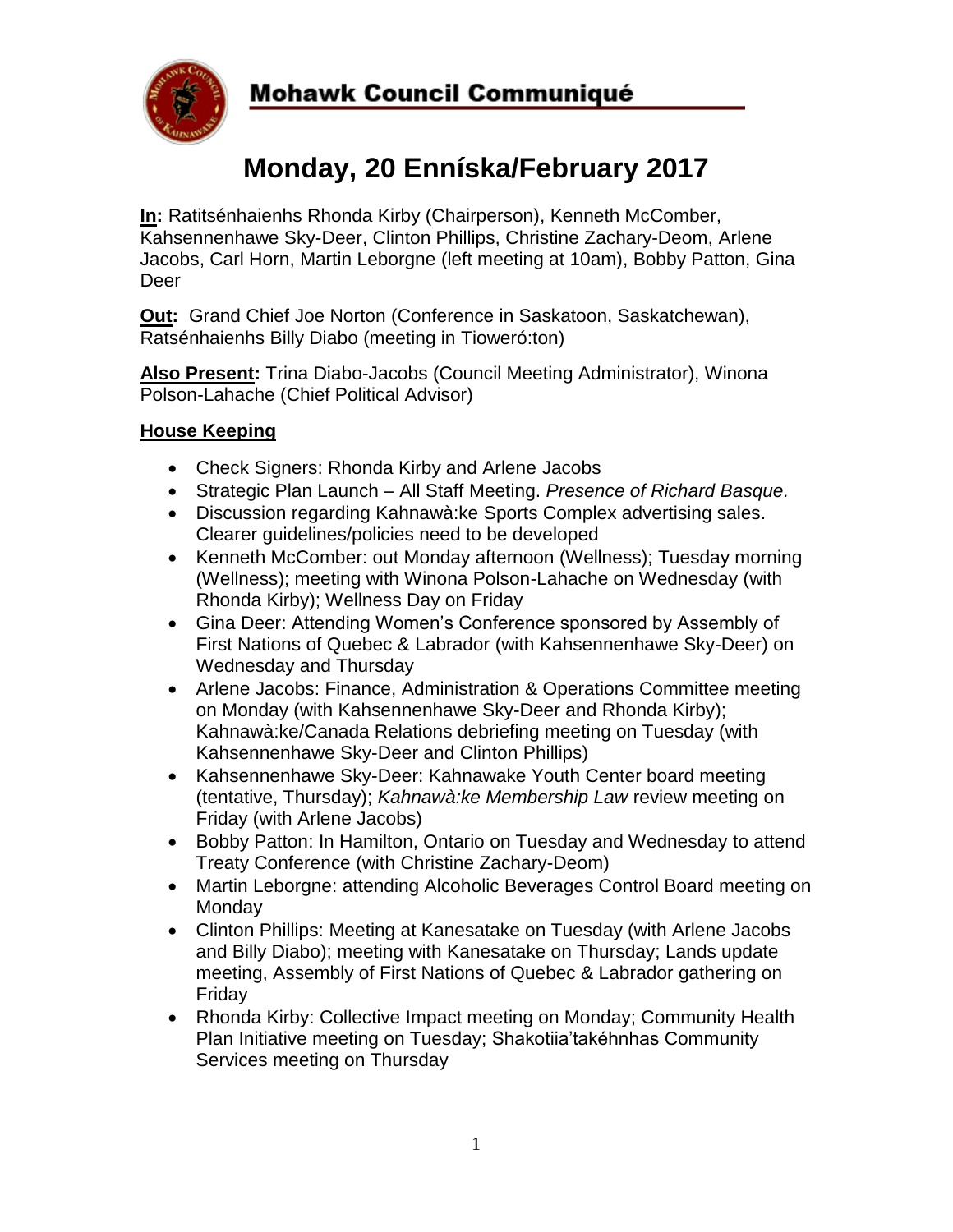

# **Mohawk Council Communiqué**

# **Monday, 20 Enníska/February 2017**

**In:** Ratitsénhaienhs Rhonda Kirby (Chairperson), Kenneth McComber, Kahsennenhawe Sky-Deer, Clinton Phillips, Christine Zachary-Deom, Arlene Jacobs, Carl Horn, Martin Leborgne (left meeting at 10am), Bobby Patton, Gina Deer

**Out:** Grand Chief Joe Norton (Conference in Saskatoon, Saskatchewan), Ratsénhaienhs Billy Diabo (meeting in Tioweró:ton)

**Also Present:** Trina Diabo-Jacobs (Council Meeting Administrator), Winona Polson-Lahache (Chief Political Advisor)

## **House Keeping**

- Check Signers: Rhonda Kirby and Arlene Jacobs
- Strategic Plan Launch All Staff Meeting. *Presence of Richard Basque.*
- Discussion regarding Kahnawà:ke Sports Complex advertising sales. Clearer guidelines/policies need to be developed
- Kenneth McComber: out Monday afternoon (Wellness); Tuesday morning (Wellness); meeting with Winona Polson-Lahache on Wednesday (with Rhonda Kirby); Wellness Day on Friday
- Gina Deer: Attending Women's Conference sponsored by Assembly of First Nations of Quebec & Labrador (with Kahsennenhawe Sky-Deer) on Wednesday and Thursday
- Arlene Jacobs: Finance, Administration & Operations Committee meeting on Monday (with Kahsennenhawe Sky-Deer and Rhonda Kirby); Kahnawà:ke/Canada Relations debriefing meeting on Tuesday (with Kahsennenhawe Sky-Deer and Clinton Phillips)
- Kahsennenhawe Sky-Deer: Kahnawake Youth Center board meeting (tentative, Thursday); *Kahnawà:ke Membership Law* review meeting on Friday (with Arlene Jacobs)
- Bobby Patton: In Hamilton, Ontario on Tuesday and Wednesday to attend Treaty Conference (with Christine Zachary-Deom)
- Martin Leborgne: attending Alcoholic Beverages Control Board meeting on **Monday**
- Clinton Phillips: Meeting at Kanesatake on Tuesday (with Arlene Jacobs and Billy Diabo); meeting with Kanesatake on Thursday; Lands update meeting, Assembly of First Nations of Quebec & Labrador gathering on Friday
- Rhonda Kirby: Collective Impact meeting on Monday; Community Health Plan Initiative meeting on Tuesday; Shakotiia'takéhnhas Community Services meeting on Thursday